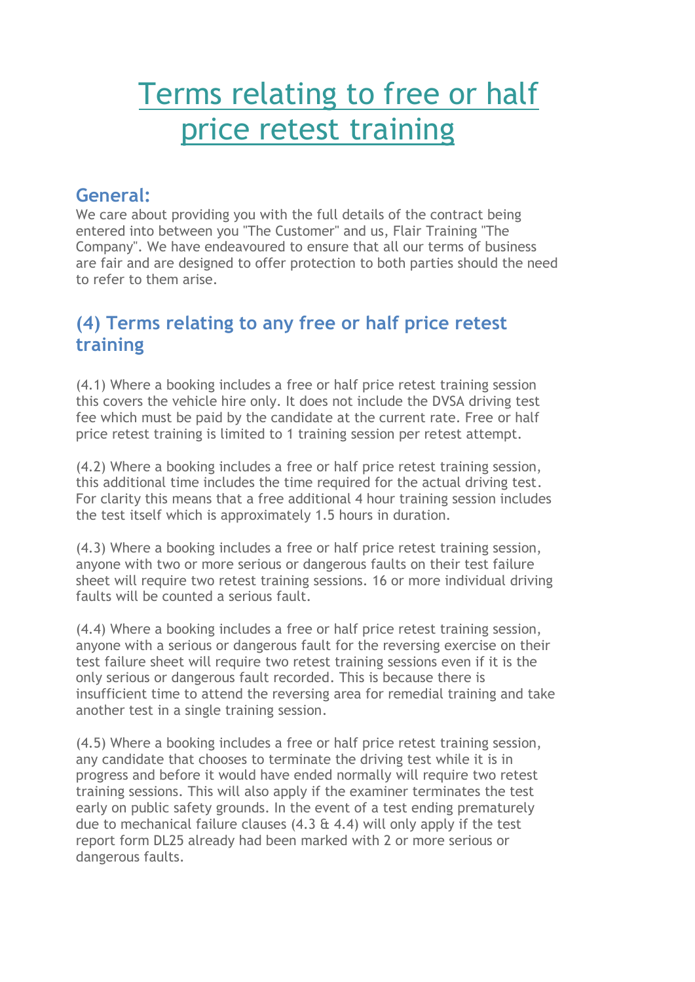## Terms relating to free or half price retest training

## **General:**

We care about providing you with the full details of the contract being entered into between you "The Customer" and us, Flair Training "The Company". We have endeavoured to ensure that all our terms of business are fair and are designed to offer protection to both parties should the need to refer to them arise.

## **(4) Terms relating to any free or half price retest training**

(4.1) Where a booking includes a free or half price retest training session this covers the vehicle hire only. It does not include the DVSA driving test fee which must be paid by the candidate at the current rate. Free or half price retest training is limited to 1 training session per retest attempt.

(4.2) Where a booking includes a free or half price retest training session, this additional time includes the time required for the actual driving test. For clarity this means that a free additional 4 hour training session includes the test itself which is approximately 1.5 hours in duration.

(4.3) Where a booking includes a free or half price retest training session, anyone with two or more serious or dangerous faults on their test failure sheet will require two retest training sessions. 16 or more individual driving faults will be counted a serious fault.

(4.4) Where a booking includes a free or half price retest training session, anyone with a serious or dangerous fault for the reversing exercise on their test failure sheet will require two retest training sessions even if it is the only serious or dangerous fault recorded. This is because there is insufficient time to attend the reversing area for remedial training and take another test in a single training session.

(4.5) Where a booking includes a free or half price retest training session, any candidate that chooses to terminate the driving test while it is in progress and before it would have ended normally will require two retest training sessions. This will also apply if the examiner terminates the test early on public safety grounds. In the event of a test ending prematurely due to mechanical failure clauses (4.3 & 4.4) will only apply if the test report form DL25 already had been marked with 2 or more serious or dangerous faults.